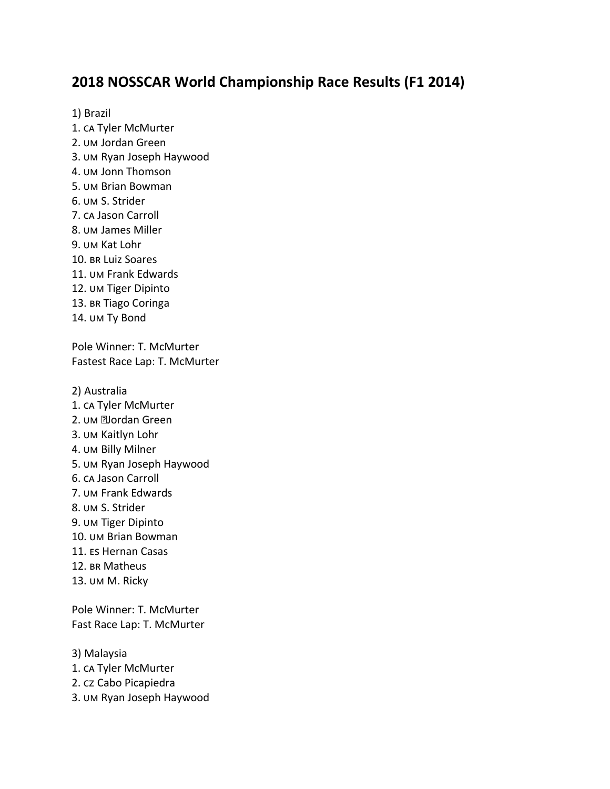# **2018 NOSSCAR World Championship Race Results (F1 2014)**

1) Brazil 1. CA Tyler McMurter 2. UM Jordan Green 3. UM Ryan Joseph Haywood 4. UM Jonn Thomson 5. UM Brian Bowman 6. UM S. Strider 7. CA Jason Carroll 8. UM James Miller 9. UM Kat Lohr 10. BR Luiz Soares 11. UM Frank Edwards 12. UM Tiger Dipinto 13. BR Tiago Coringa 14. UM Ty Bond Pole Winner: T. McMurter Fastest Race Lap: T. McMurter 2) Australia

- 1. CA Tyler McMurter
- 2. UM **Elordan** Green
- 3. UM Kaitlyn Lohr
- 4. UM Billy Milner
- 5. UM Ryan Joseph Haywood
- 6. CA Jason Carroll
- 7. UM Frank Edwards
- 8. UM S. Strider
- 9. UM Tiger Dipinto
- 10. UM Brian Bowman
- 11. Es Hernan Casas
- 12. BR Matheus
- 13. UM M. Ricky

Pole Winner: T. McMurter Fast Race Lap: T. McMurter

3) Malaysia

- 1. CA Tyler McMurter
- 2. Cabo Picapiedra
- 3. UM Ryan Joseph Haywood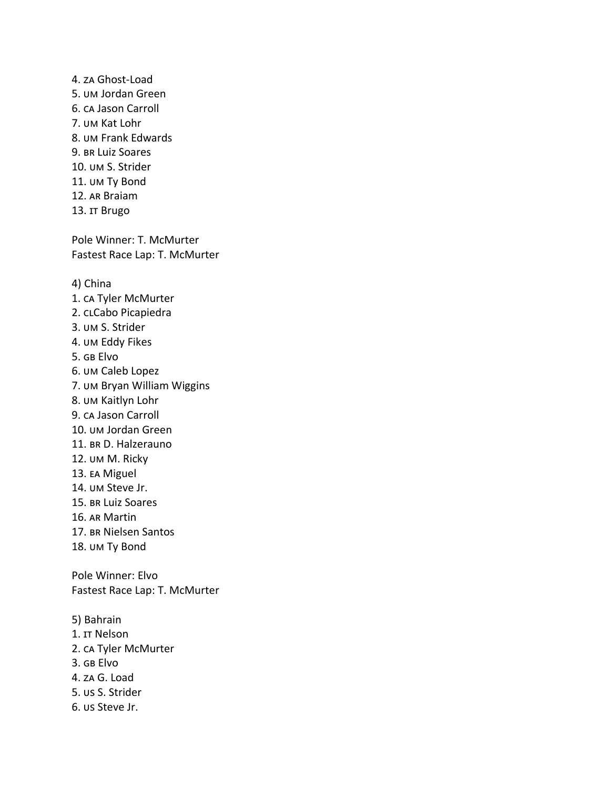4. Ghost-Load 5. UM Jordan Green 6. CA Jason Carroll 7. UM Kat Lohr 8. UM Frank Edwards 9. BR Luiz Soares 10. UM S. Strider 11. UM Ty Bond 12. AR Braiam 13. IT Brugo

Pole Winner: T. McMurter Fastest Race Lap: T. McMurter

4) China

- 1. CA Tyler McMurter
- 2. CLCabo Picapiedra
- 3. UM S. Strider
- 4. UM Eddy Fikes
- 5. GB Elvo
- 6. UM Caleb Lopez
- 7. UM Bryan William Wiggins
- 8. UM Kaitlyn Lohr
- 9. CA Jason Carroll
- 10. UM Jordan Green
- 11. BR D. Halzerauno
- 12. UM M. Ricky
- 13. EA Miguel
- 14. UM Steve Jr.
- 15. BR Luiz Soares
- 16. AR Martin
- 17. BR Nielsen Santos
- 18. UM Ty Bond

Pole Winner: Elvo Fastest Race Lap: T. McMurter

- 5) Bahrain
- 1. Nelson
- 2. CA Tyler McMurter
- 3. GB Elvo
- 4. ZA G. Load
- 5. **US S. Strider**
- 6. *US Steve Jr.*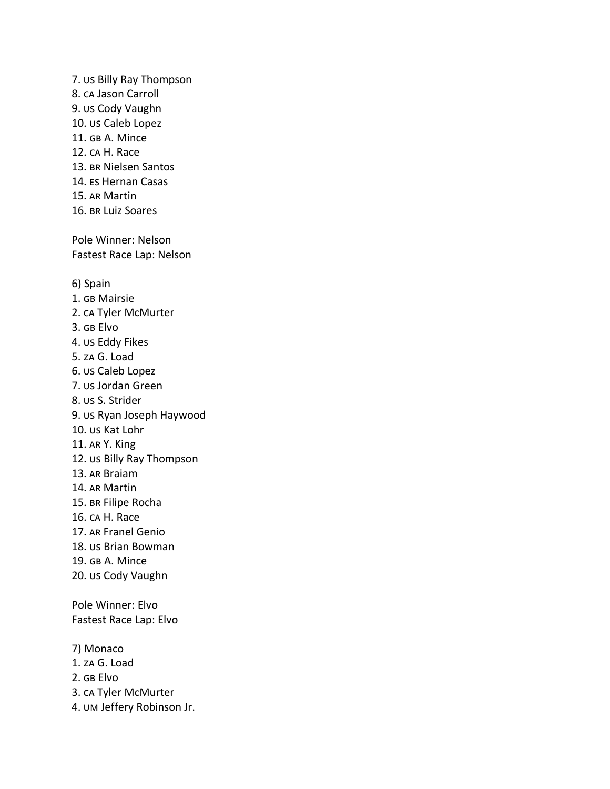7. US Billy Ray Thompson 8. CA Jason Carroll 9. us Cody Vaughn 10. us Caleb Lopez 11. GB A. Mince 12. CA H. Race 13. BR Nielsen Santos 14. ES Hernan Casas 15. AR Martin 16. BR Luiz Soares Pole Winner: Nelson Fastest Race Lap: Nelson 6) Spain 1. GB Mairsie 2. CA Tyler McMurter 3. GB Elvo 4. US Eddy Fikes 5. za G. Load 6. *us Caleb Lopez* 7. *us Jordan Green* 8. us S. Strider 9. us Ryan Joseph Haywood 10. us Kat Lohr 11. AR Y. King 12. US Billy Ray Thompson 13. AR Braiam 14. AR Martin 15. BR Filipe Rocha 16. CA H. Race 17. AR Franel Genio 18. us Brian Bowman 19. GB A. Mince 20. us Cody Vaughn Pole Winner: Elvo Fastest Race Lap: Elvo 7) Monaco 1. za G. Load 2. GB Elvo 3. CA Tyler McMurter 4. UM Jeffery Robinson Jr.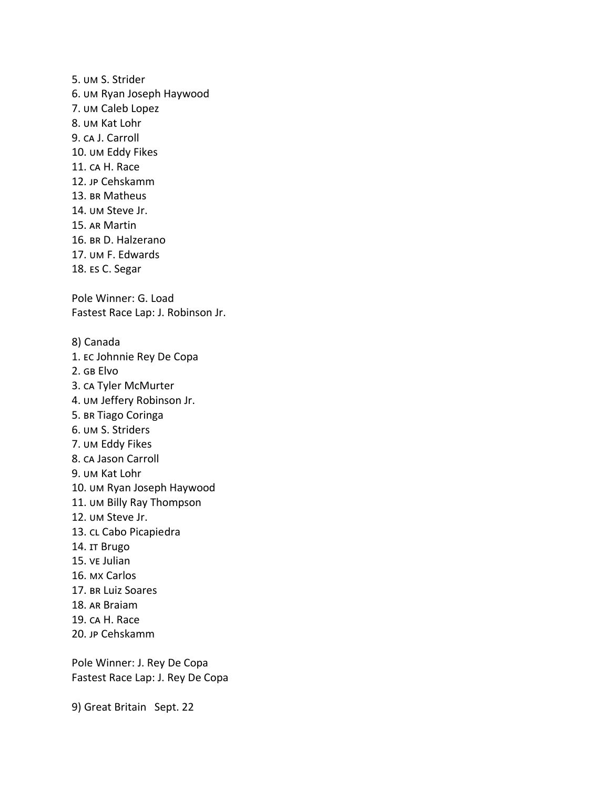5. UM S. Strider 6. UM Ryan Joseph Haywood 7. UM Caleb Lopez 8. UM Kat Lohr 9. CA J. Carroll 10. UM Eddy Fikes 11. CA H. Race 12. JP Cehskamm 13. BR Matheus 14. UM Steve Jr. 15. AR Martin 16. BR D. Halzerano 17. UM F. Edwards 18. Es C. Segar Pole Winner: G. Load Fastest Race Lap: J. Robinson Jr. 8) Canada 1. EC Johnnie Rey De Copa 2. Elvo 3. CA Tyler McMurter 4. UM Jeffery Robinson Jr. 5. BR Tiago Coringa 6. UM S. Striders 7. UM Eddy Fikes 8. CA Jason Carroll 9. UM Kat Lohr 10. UM Ryan Joseph Haywood 11. UM Billy Ray Thompson 12. UM Steve Jr. 13. CL Cabo Picapiedra 14. IT Brugo 15. ve Julian 16. MX Carlos 17. BR Luiz Soares 18. AR Braiam 19. CA H. Race 20. JP Cehskamm

Pole Winner: J. Rey De Copa Fastest Race Lap: J. Rey De Copa

9) Great Britain Sept. 22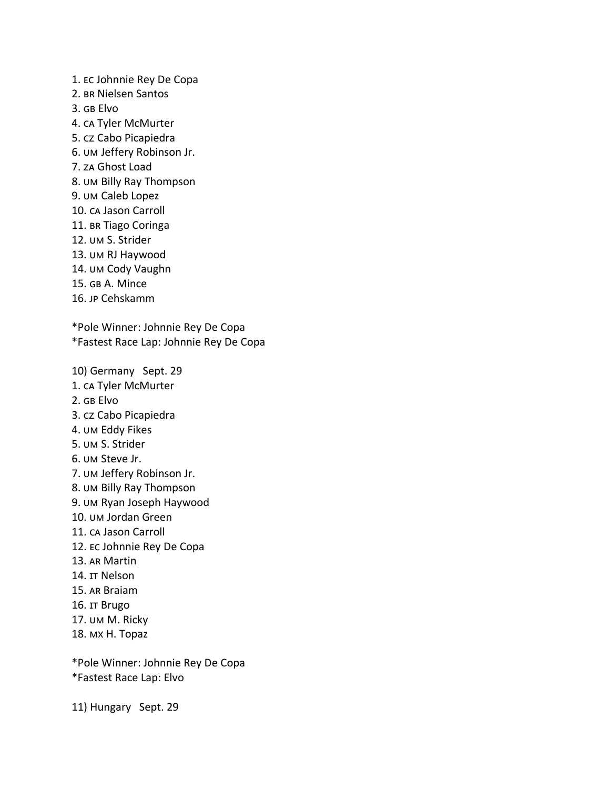1. EC Johnnie Rey De Copa 2. BR Nielsen Santos  $3.$   $GB$  Flvo 4. CA Tyler McMurter 5. Cabo Picapiedra 6. UM Jeffery Robinson Jr. 7. Ghost Load 8. UM Billy Ray Thompson 9. UM Caleb Lopez 10. CA Jason Carroll 11. BR Tiago Coringa 12. UM S. Strider 13. UM RJ Haywood 14. UM Cody Vaughn 15. GB A. Mince 16. Cehskamm \*Pole Winner: Johnnie Rey De Copa \*Fastest Race Lap: Johnnie Rey De Copa 10) Germany Sept. 29 1. CA Tyler McMurter 2. GB Elvo 3. Cabo Picapiedra 4. UM Eddy Fikes 5. UM S. Strider 6. UM Steve Jr. 7. UM Jeffery Robinson Jr. 8. UM Billy Ray Thompson 9. UM Ryan Joseph Haywood 10. UM Jordan Green 11. CA Jason Carroll 12. EC Johnnie Rey De Copa 13. AR Martin 14. Nelson 15. AR Braiam 16. IT Brugo 17. UM M. Ricky 18. MX H. Topaz

\*Pole Winner: Johnnie Rey De Copa \*Fastest Race Lap: Elvo

11) Hungary Sept. 29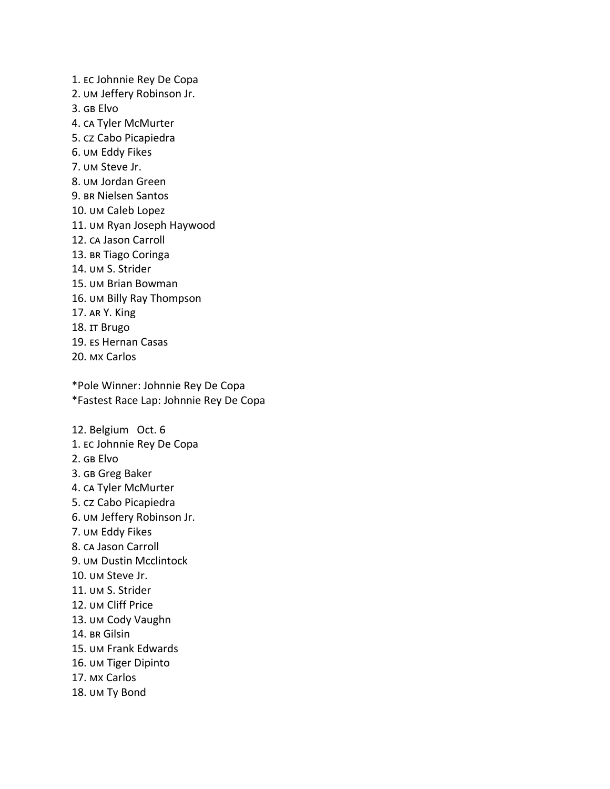1. EC Johnnie Rey De Copa 2. UM Jeffery Robinson Jr. 3. GB Flvo 4. CA Tyler McMurter 5. Cabo Picapiedra 6. UM Eddy Fikes 7. UM Steve Jr. 8. UM Jordan Green 9. BR Nielsen Santos 10. UM Caleb Lopez 11. UM Ryan Joseph Haywood 12. CA Jason Carroll 13. BR Tiago Coringa 14. UM S. Strider 15. UM Brian Bowman 16. UM Billy Ray Thompson 17. AR Y. King 18. IT Brugo 19. Es Hernan Casas 20. MX Carlos

\*Pole Winner: Johnnie Rey De Copa \*Fastest Race Lap: Johnnie Rey De Copa

12. Belgium Oct. 6 1. EC Johnnie Rey De Copa 2. GB Elvo 3. Greg Baker 4. CA Tyler McMurter 5. cz Cabo Picapiedra 6. UM Jeffery Robinson Jr. 7. UM Eddy Fikes 8. CA Jason Carroll 9. UM Dustin Mcclintock 10. UM Steve Jr. 11. UM S. Strider 12. UM Cliff Price 13. UM Cody Vaughn 14. BR Gilsin 15. UM Frank Edwards 16. UM Tiger Dipinto

- 17. MX Carlos
- 18. UM Ty Bond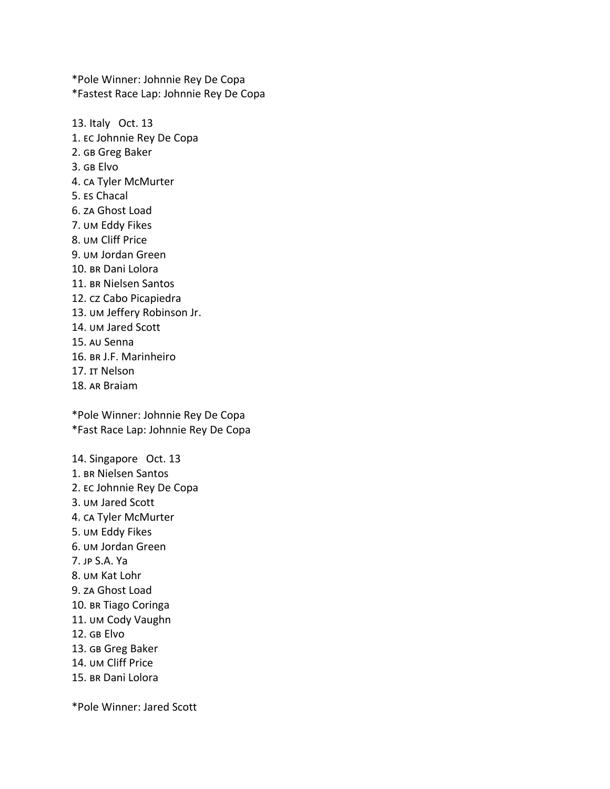\*Pole Winner: Johnnie Rey De Copa \*Fastest Race Lap: Johnnie Rey De Copa

13. Italy Oct. 13 1. EC Johnnie Rey De Copa 2. Greg Baker 3. GB Elvo 4. CA Tyler McMurter 5. Es Chacal 6. za Ghost Load 7. UM Eddy Fikes 8. UM Cliff Price 9. UM Jordan Green 10. BR Dani Lolora 11. BR Nielsen Santos 12. cz Cabo Picapiedra 13. UM Jeffery Robinson Jr. 14. UM Jared Scott 15. Au Senna 16. BR J.F. Marinheiro 17. Nelson 18. AR Braiam

\*Pole Winner: Johnnie Rey De Copa \*Fast Race Lap: Johnnie Rey De Copa

14. Singapore Oct. 13 1. BR Nielsen Santos 2. EC Johnnie Rey De Copa 3. UM Jared Scott 4. CA Tyler McMurter 5. UM Eddy Fikes 6. UM Jordan Green 7. JP S.A. Ya 8. UM Kat Lohr 9. ZA Ghost Load 10. BR Tiago Coringa 11. UM Cody Vaughn 12. Elvo 13. Greg Baker 14. UM Cliff Price 15. BR Dani Lolora

\*Pole Winner: Jared Scott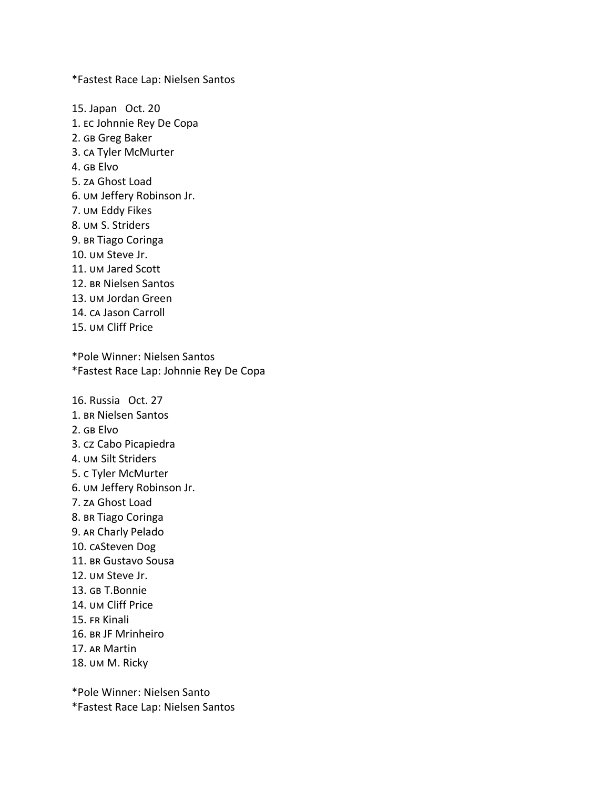\*Fastest Race Lap: Nielsen Santos

15. Japan Oct. 20 1. EC Johnnie Rey De Copa 2. Greg Baker 3. CA Tyler McMurter 4. GB Flvo 5. za Ghost Load 6. UM Jeffery Robinson Jr. 7. UM Eddy Fikes 8. UM S. Striders 9. BR Tiago Coringa 10. UM Steve Jr. 11. UM Jared Scott 12. BR Nielsen Santos 13. UM Jordan Green 14. CA Jason Carroll 15. UM Cliff Price \*Pole Winner: Nielsen Santos \*Fastest Race Lap: Johnnie Rey De Copa 16. Russia Oct. 27 1. BR Nielsen Santos 2. GB Elvo 3. Cabo Picapiedra 4. UM Silt Striders 5. c Tyler McMurter 6. UM Jeffery Robinson Jr. 7. Ghost Load 8. BR Tiago Coringa 9. AR Charly Pelado 10. CASteven Dog 11. BR Gustavo Sousa 12. UM Steve Jr. 13. GB T.Bonnie 14. UM Cliff Price 15. FR Kinali 16. BR JF Mrinheiro 17. AR Martin

18. UM M. Ricky

\*Pole Winner: Nielsen Santo

\*Fastest Race Lap: Nielsen Santos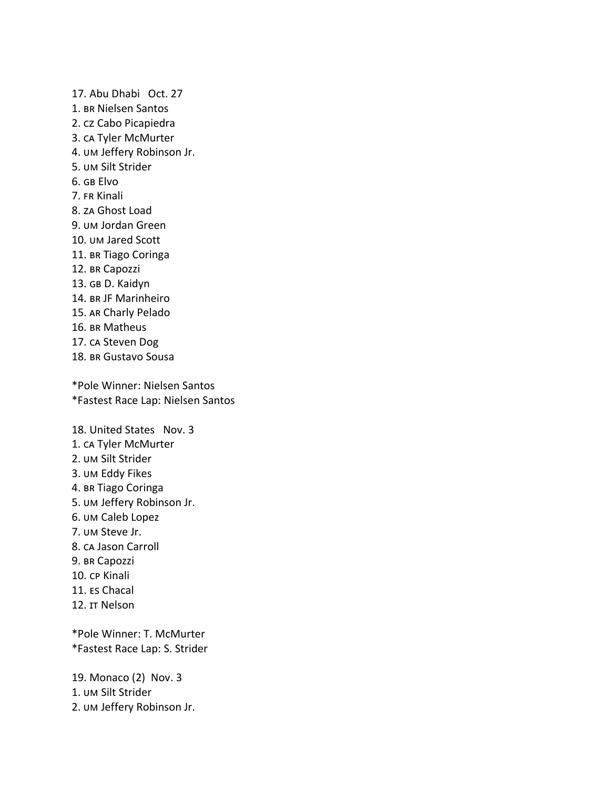17. Abu Dhabi Oct. 27 1. BR Nielsen Santos 2. cz Cabo Picapiedra 3. CA Tyler McMurter 4. UM Jeffery Robinson Jr. 5. UM Silt Strider 6. GB Elvo 7. FR Kinali 8. ZA Ghost Load 9. UM Jordan Green 10. UM Jared Scott 11. BR Tiago Coringa 12. BR Capozzi 13. GB D. Kaidyn 14. BR JF Marinheiro 15. AR Charly Pelado 16. BR Matheus 17. CA Steven Dog 18. BR Gustavo Sousa

\*Pole Winner: Nielsen Santos \*Fastest Race Lap: Nielsen Santos

18. United States Nov. 3 1. CA Tyler McMurter 2. UM Silt Strider 3. UM Eddy Fikes 4. BR Tiago Coringa 5. UM Jeffery Robinson Jr. 6. UM Caleb Lopez 7. UM Steve Jr. 8. CA Jason Carroll 9. BR Capozzi 10. CP Kinali 11. Es Chacal 12. IT Nelson \*Pole Winner: T. McMurter \*Fastest Race Lap: S. Strider

19. Monaco (2) Nov. 3 1. UM Silt Strider 2. UM Jeffery Robinson Jr.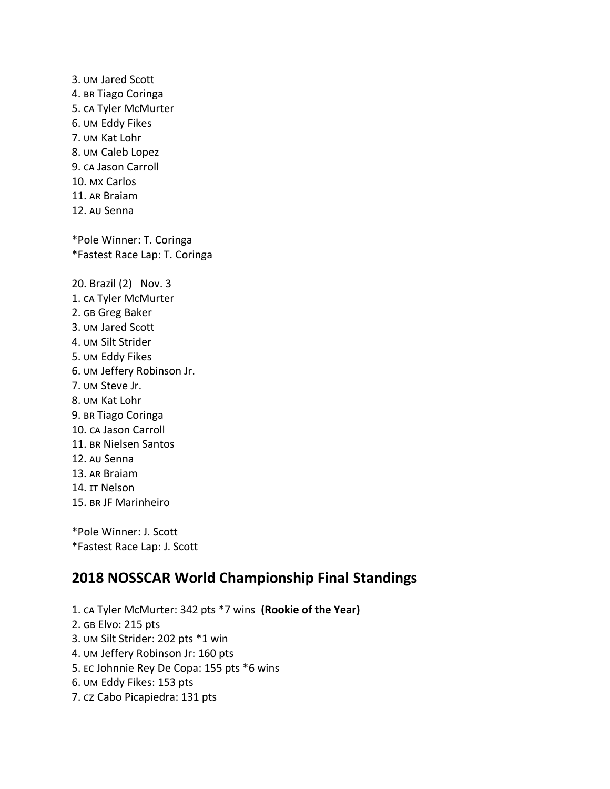3. UM Jared Scott 4. BR Tiago Coringa 5. CA Tyler McMurter 6. UM Eddy Fikes 7. UM Kat Lohr 8. UM Caleb Lopez 9. CA Jason Carroll 10. MX Carlos 11. AR Braiam 12. AU Senna \*Pole Winner: T. Coringa \*Fastest Race Lap: T. Coringa 20. Brazil (2) Nov. 3 1. CA Tyler McMurter 2. Greg Baker 3. UM Jared Scott 4. UM Silt Strider 5. UM Eddy Fikes 6. UM Jeffery Robinson Jr. 7. UM Steve Jr. 8. UM Kat Lohr 9. BR Tiago Coringa 10. CA Jason Carroll 11. BR Nielsen Santos 12. AU Senna 13. AR Braiam 14. Nelson 15. BR JF Marinheiro \*Pole Winner: J. Scott

\*Fastest Race Lap: J. Scott

# **2018 NOSSCAR World Championship Final Standings**

1. CA Tyler McMurter: 342 pts \*7 wins (Rookie of the Year) 2. GB Elvo: 215 pts 3. UM Silt Strider: 202 pts \*1 win 4. UM Jeffery Robinson Jr: 160 pts 5. EC Johnnie Rey De Copa: 155 pts \*6 wins 6. UM Eddy Fikes: 153 pts 7. Cabo Picapiedra: 131 pts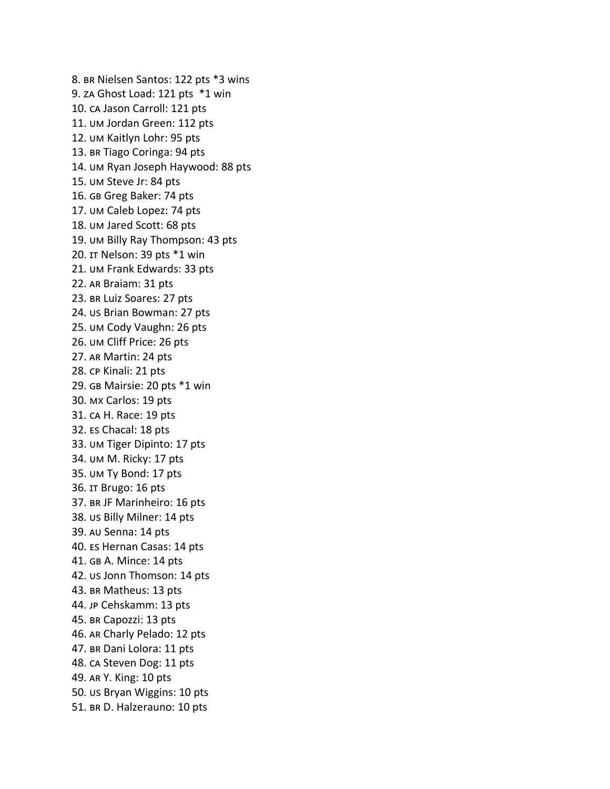8. BR Nielsen Santos: 122 pts \*3 wins 9. ZA Ghost Load: 121 pts \*1 win 10. CA Jason Carroll: 121 pts 11. UM Jordan Green: 112 pts 12. UM Kaitlyn Lohr: 95 pts 13. BR Tiago Coringa: 94 pts 14. UM Ryan Joseph Haywood: 88 pts 15. UM Steve Jr: 84 pts 16. Greg Baker: 74 pts 17. UM Caleb Lopez: 74 pts 18. UM Jared Scott: 68 pts 19. UM Billy Ray Thompson: 43 pts 20. IT Nelson: 39 pts \*1 win 21. UM Frank Edwards: 33 pts 22. AR Braiam: 31 pts 23. BR Luiz Soares: 27 pts 24. *us Brian Bowman: 27 pts* 25. UM Cody Vaughn: 26 pts 26. UM Cliff Price: 26 pts 27. AR Martin: 24 pts 28. CP Kinali: 21 pts 29. GB Mairsie: 20 pts \*1 win 30. MX Carlos: 19 pts 31. CA H. Race: 19 pts 32. Es Chacal: 18 pts 33. UM Tiger Dipinto: 17 pts 34. UM M. Ricky: 17 pts 35. UM Ty Bond: 17 pts 36. IT Brugo: 16 pts 37. BR JF Marinheiro: 16 pts 38. us Billy Milner: 14 pts 39. AU Senna: 14 pts 40. Es Hernan Casas: 14 pts 41. GB A. Mince: 14 pts 42. US Jonn Thomson: 14 pts 43. BR Matheus: 13 pts 44. JP Cehskamm: 13 pts 45. BR Capozzi: 13 pts 46. AR Charly Pelado: 12 pts 47. BR Dani Lolora: 11 pts 48. CA Steven Dog: 11 pts 49. AR Y. King: 10 pts 50. us Bryan Wiggins: 10 pts 51. BR D. Halzerauno: 10 pts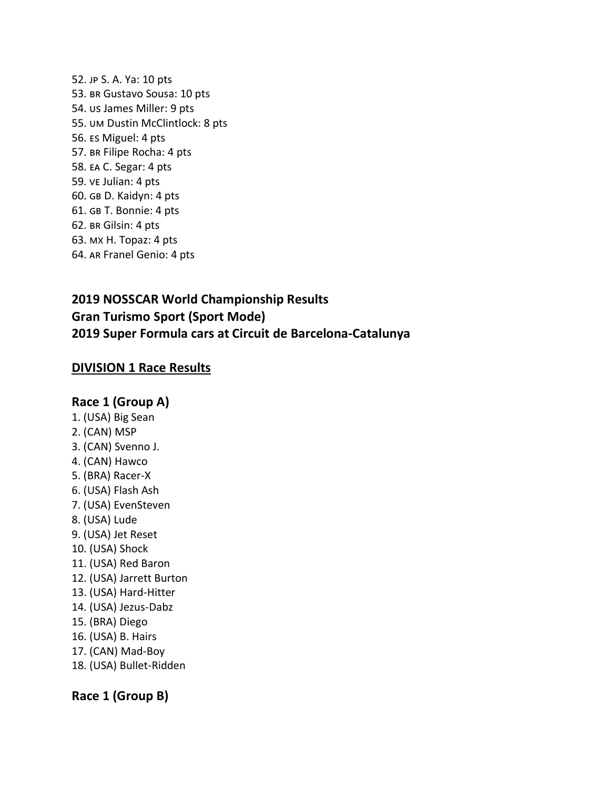52. JP S. A. Ya: 10 pts 53. BR Gustavo Sousa: 10 pts 54. *us James Miller: 9 pts* 55. UM Dustin McClintlock: 8 pts 56. Es Miguel: 4 pts 57. BR Filipe Rocha: 4 pts 58. EA C. Segar: 4 pts 59. ve Julian: 4 pts 60. GB D. Kaidyn: 4 pts 61. GB T. Bonnie: 4 pts 62. BR Gilsin: 4 pts 63. MX H. Topaz: 4 pts 64. AR Franel Genio: 4 pts

# **2019 NOSSCAR World Championship Results Gran Turismo Sport (Sport Mode) 2019 Super Formula cars at Circuit de Barcelona-Catalunya**

## **DIVISION 1 Race Results**

### **Race 1 (Group A)**

- 1. (USA) Big Sean
- 2. (CAN) MSP
- 3. (CAN) Svenno J.
- 4. (CAN) Hawco
- 5. (BRA) Racer-X
- 6. (USA) Flash Ash
- 7. (USA) EvenSteven
- 8. (USA) Lude
- 9. (USA) Jet Reset
- 10. (USA) Shock
- 11. (USA) Red Baron
- 12. (USA) Jarrett Burton
- 13. (USA) Hard-Hitter
- 14. (USA) Jezus-Dabz
- 15. (BRA) Diego
- 16. (USA) B. Hairs
- 17. (CAN) Mad-Boy
- 18. (USA) Bullet-Ridden

## **Race 1 (Group B)**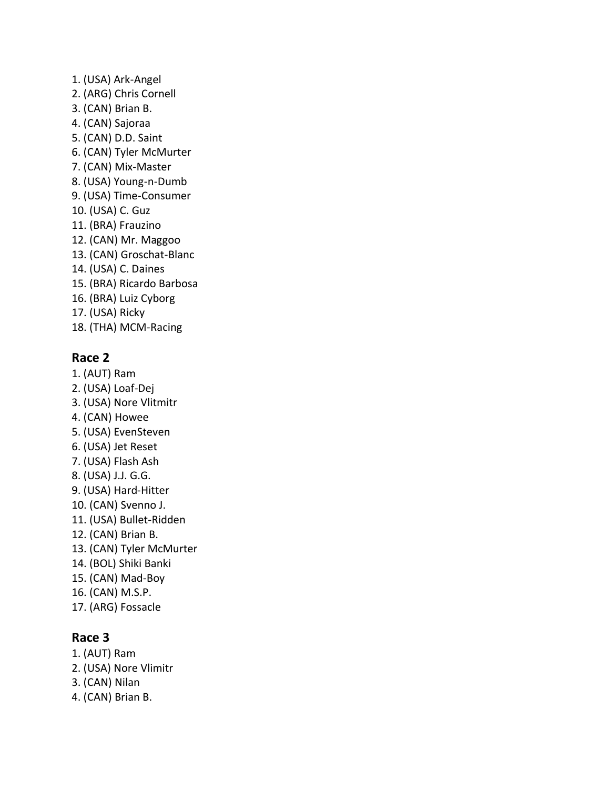1. (USA) Ark-Angel 2. (ARG) Chris Cornell 3. (CAN) Brian B. 4. (CAN) Sajoraa 5. (CAN) D.D. Saint 6. (CAN) Tyler McMurter 7. (CAN) Mix-Master 8. (USA) Young-n-Dumb 9. (USA) Time-Consumer 10. (USA) C. Guz 11. (BRA) Frauzino 12. (CAN) Mr. Maggoo 13. (CAN) Groschat-Blanc 14. (USA) C. Daines 15. (BRA) Ricardo Barbosa 16. (BRA) Luiz Cyborg 17. (USA) Ricky 18. (THA) MCM-Racing

## **Race 2**

- 1. (AUT) Ram 2. (USA) Loaf-Dej 3. (USA) Nore Vlitmitr
- 4. (CAN) Howee
- 5. (USA) EvenSteven
- 6. (USA) Jet Reset
- 7. (USA) Flash Ash
- 8. (USA) J.J. G.G.
- 9. (USA) Hard-Hitter
- 10. (CAN) Svenno J.
- 11. (USA) Bullet-Ridden
- 12. (CAN) Brian B.
- 13. (CAN) Tyler McMurter
- 14. (BOL) Shiki Banki
- 15. (CAN) Mad-Boy
- 16. (CAN) M.S.P.
- 17. (ARG) Fossacle

# **Race 3**

- 1. (AUT) Ram
- 2. (USA) Nore Vlimitr
- 3. (CAN) Nilan
- 4. (CAN) Brian B.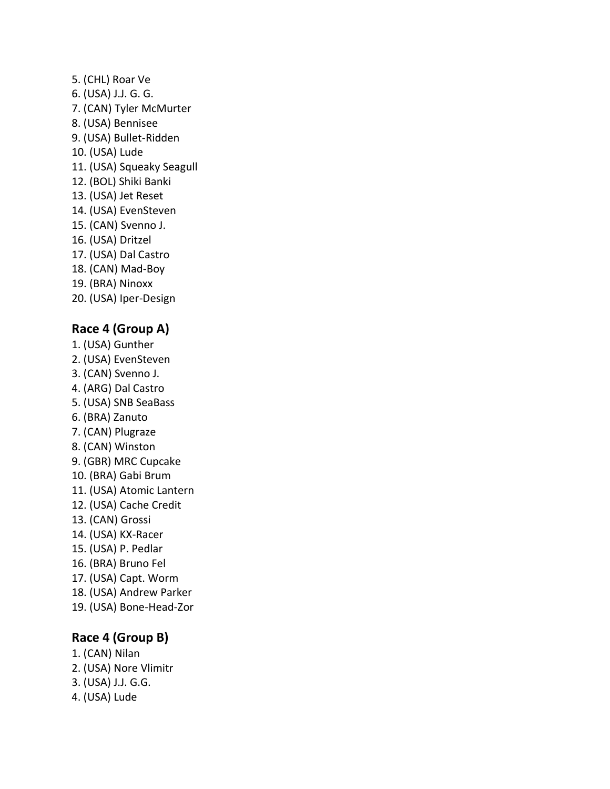5. (CHL) Roar Ve 6. (USA) J.J. G. G. 7. (CAN) Tyler McMurter 8. (USA) Bennisee 9. (USA) Bullet-Ridden 10. (USA) Lude 11. (USA) Squeaky Seagull 12. (BOL) Shiki Banki 13. (USA) Jet Reset 14. (USA) EvenSteven 15. (CAN) Svenno J. 16. (USA) Dritzel 17. (USA) Dal Castro 18. (CAN) Mad-Boy 19. (BRA) Ninoxx 20. (USA) Iper-Design

# **Race 4 (Group A)**

- 1. (USA) Gunther
- 2. (USA) EvenSteven
- 3. (CAN) Svenno J.
- 4. (ARG) Dal Castro
- 5. (USA) SNB SeaBass
- 6. (BRA) Zanuto
- 7. (CAN) Plugraze
- 8. (CAN) Winston 9. (GBR) MRC Cupcake
- 10. (BRA) Gabi Brum
- 11. (USA) Atomic Lantern
- 12. (USA) Cache Credit
- 13. (CAN) Grossi
- 14. (USA) KX-Racer
- 15. (USA) P. Pedlar
- 16. (BRA) Bruno Fel
- 17. (USA) Capt. Worm
- 18. (USA) Andrew Parker
- 19. (USA) Bone-Head-Zor

# **Race 4 (Group B)**

- 1. (CAN) Nilan
- 2. (USA) Nore Vlimitr
- 3. (USA) J.J. G.G. 4. (USA) Lude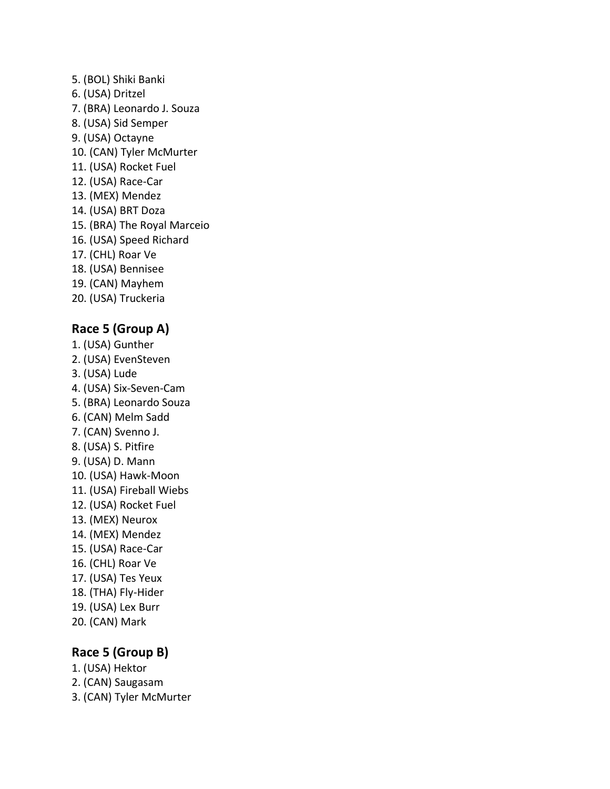5. (BOL) Shiki Banki 6. (USA) Dritzel 7. (BRA) Leonardo J. Souza 8. (USA) Sid Semper 9. (USA) Octayne 10. (CAN) Tyler McMurter 11. (USA) Rocket Fuel 12. (USA) Race-Car 13. (MEX) Mendez 14. (USA) BRT Doza 15. (BRA) The Royal Marceio 16. (USA) Speed Richard 17. (CHL) Roar Ve 18. (USA) Bennisee 19. (CAN) Mayhem 20. (USA) Truckeria

## **Race 5 (Group A)**

- 1. (USA) Gunther
- 2. (USA) EvenSteven
- 3. (USA) Lude
- 4. (USA) Six-Seven-Cam
- 5. (BRA) Leonardo Souza
- 6. (CAN) Melm Sadd
- 7. (CAN) Svenno J.
- 8. (USA) S. Pitfire
- 9. (USA) D. Mann
- 10. (USA) Hawk-Moon
- 11. (USA) Fireball Wiebs
- 12. (USA) Rocket Fuel
- 13. (MEX) Neurox 14. (MEX) Mendez
- 15. (USA) Race-Car
- 16. (CHL) Roar Ve
- 17. (USA) Tes Yeux
- 18. (THA) Fly-Hider
- 19. (USA) Lex Burr
- 20. (CAN) Mark

# **Race 5 (Group B)**

- 1. (USA) Hektor
- 2. (CAN) Saugasam
- 3. (CAN) Tyler McMurter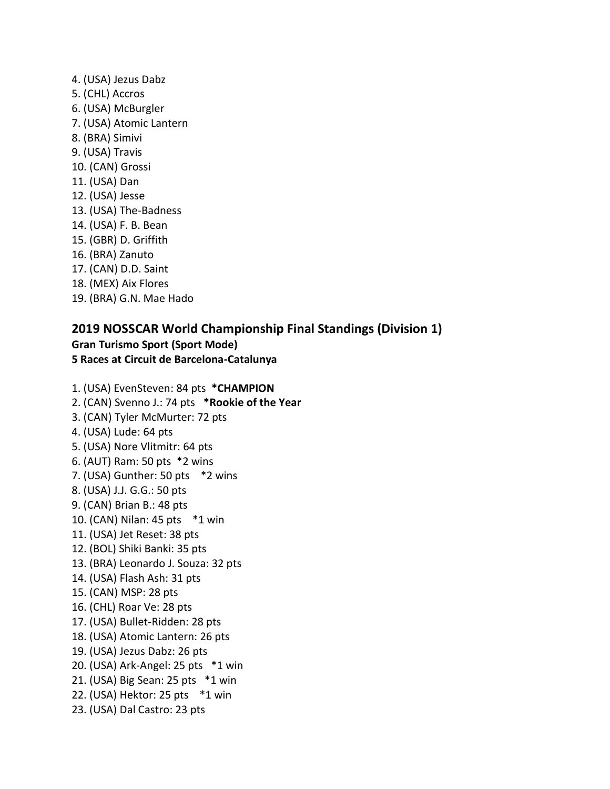4. (USA) Jezus Dabz 5. (CHL) Accros 6. (USA) McBurgler 7. (USA) Atomic Lantern 8. (BRA) Simivi 9. (USA) Travis 10. (CAN) Grossi 11. (USA) Dan 12. (USA) Jesse 13. (USA) The-Badness 14. (USA) F. B. Bean 15. (GBR) D. Griffith 16. (BRA) Zanuto 17. (CAN) D.D. Saint 18. (MEX) Aix Flores 19. (BRA) G.N. Mae Hado

## **2019 NOSSCAR World Championship Final Standings (Division 1) Gran Turismo Sport (Sport Mode)**

**5 Races at Circuit de Barcelona-Catalunya**

1. (USA) EvenSteven: 84 pts **\*CHAMPION** 2. (CAN) Svenno J.: 74 pts **\*Rookie of the Year** 3. (CAN) Tyler McMurter: 72 pts 4. (USA) Lude: 64 pts 5. (USA) Nore Vlitmitr: 64 pts 6. (AUT) Ram: 50 pts \*2 wins 7. (USA) Gunther: 50 pts \*2 wins 8. (USA) J.J. G.G.: 50 pts 9. (CAN) Brian B.: 48 pts 10. (CAN) Nilan: 45 pts \*1 win 11. (USA) Jet Reset: 38 pts 12. (BOL) Shiki Banki: 35 pts 13. (BRA) Leonardo J. Souza: 32 pts 14. (USA) Flash Ash: 31 pts 15. (CAN) MSP: 28 pts 16. (CHL) Roar Ve: 28 pts 17. (USA) Bullet-Ridden: 28 pts 18. (USA) Atomic Lantern: 26 pts 19. (USA) Jezus Dabz: 26 pts 20. (USA) Ark-Angel: 25 pts \*1 win 21. (USA) Big Sean: 25 pts \*1 win 22. (USA) Hektor: 25 pts \*1 win 23. (USA) Dal Castro: 23 pts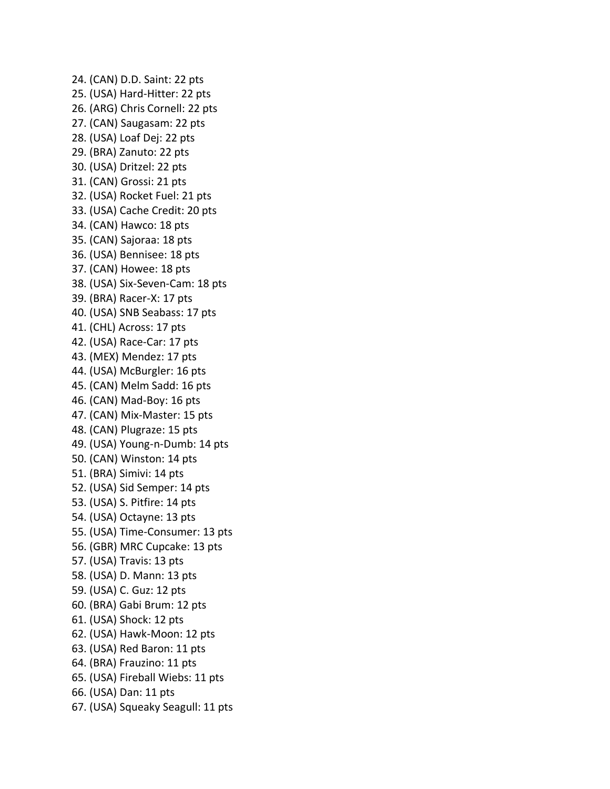24. (CAN) D.D. Saint: 22 pts 25. (USA) Hard-Hitter: 22 pts 26. (ARG) Chris Cornell: 22 pts 27. (CAN) Saugasam: 22 pts 28. (USA) Loaf Dej: 22 pts 29. (BRA) Zanuto: 22 pts 30. (USA) Dritzel: 22 pts 31. (CAN) Grossi: 21 pts 32. (USA) Rocket Fuel: 21 pts 33. (USA) Cache Credit: 20 pts 34. (CAN) Hawco: 18 pts 35. (CAN) Sajoraa: 18 pts 36. (USA) Bennisee: 18 pts 37. (CAN) Howee: 18 pts 38. (USA) Six-Seven-Cam: 18 pts 39. (BRA) Racer-X: 17 pts 40. (USA) SNB Seabass: 17 pts 41. (CHL) Across: 17 pts 42. (USA) Race-Car: 17 pts 43. (MEX) Mendez: 17 pts 44. (USA) McBurgler: 16 pts 45. (CAN) Melm Sadd: 16 pts 46. (CAN) Mad-Boy: 16 pts 47. (CAN) Mix-Master: 15 pts 48. (CAN) Plugraze: 15 pts 49. (USA) Young-n-Dumb: 14 pts 50. (CAN) Winston: 14 pts 51. (BRA) Simivi: 14 pts 52. (USA) Sid Semper: 14 pts 53. (USA) S. Pitfire: 14 pts 54. (USA) Octayne: 13 pts 55. (USA) Time-Consumer: 13 pts 56. (GBR) MRC Cupcake: 13 pts 57. (USA) Travis: 13 pts 58. (USA) D. Mann: 13 pts 59. (USA) C. Guz: 12 pts 60. (BRA) Gabi Brum: 12 pts 61. (USA) Shock: 12 pts 62. (USA) Hawk-Moon: 12 pts 63. (USA) Red Baron: 11 pts 64. (BRA) Frauzino: 11 pts 65. (USA) Fireball Wiebs: 11 pts 66. (USA) Dan: 11 pts 67. (USA) Squeaky Seagull: 11 pts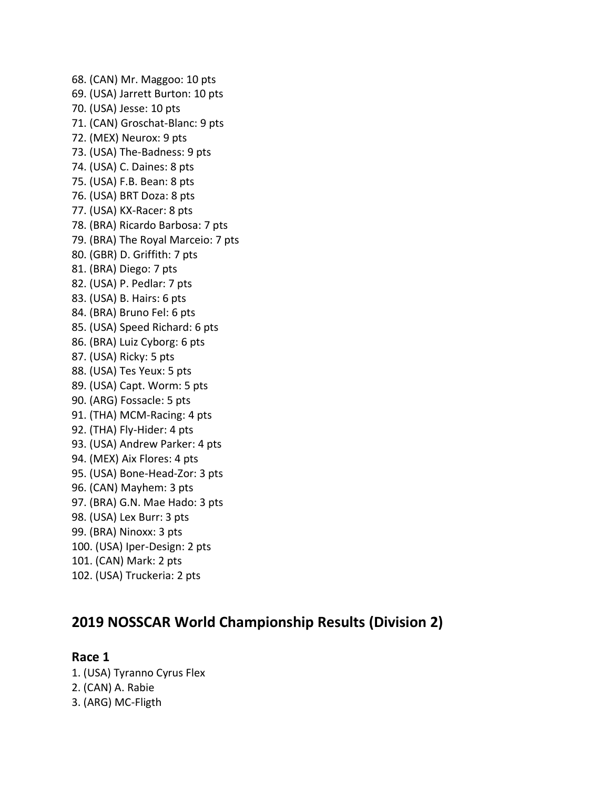68. (CAN) Mr. Maggoo: 10 pts 69. (USA) Jarrett Burton: 10 pts 70. (USA) Jesse: 10 pts 71. (CAN) Groschat-Blanc: 9 pts 72. (MEX) Neurox: 9 pts 73. (USA) The-Badness: 9 pts 74. (USA) C. Daines: 8 pts 75. (USA) F.B. Bean: 8 pts 76. (USA) BRT Doza: 8 pts 77. (USA) KX-Racer: 8 pts 78. (BRA) Ricardo Barbosa: 7 pts 79. (BRA) The Royal Marceio: 7 pts 80. (GBR) D. Griffith: 7 pts 81. (BRA) Diego: 7 pts 82. (USA) P. Pedlar: 7 pts 83. (USA) B. Hairs: 6 pts 84. (BRA) Bruno Fel: 6 pts 85. (USA) Speed Richard: 6 pts 86. (BRA) Luiz Cyborg: 6 pts 87. (USA) Ricky: 5 pts 88. (USA) Tes Yeux: 5 pts 89. (USA) Capt. Worm: 5 pts 90. (ARG) Fossacle: 5 pts 91. (THA) MCM-Racing: 4 pts 92. (THA) Fly-Hider: 4 pts 93. (USA) Andrew Parker: 4 pts 94. (MEX) Aix Flores: 4 pts 95. (USA) Bone-Head-Zor: 3 pts 96. (CAN) Mayhem: 3 pts 97. (BRA) G.N. Mae Hado: 3 pts 98. (USA) Lex Burr: 3 pts 99. (BRA) Ninoxx: 3 pts 100. (USA) Iper-Design: 2 pts 101. (CAN) Mark: 2 pts 102. (USA) Truckeria: 2 pts

# **2019 NOSSCAR World Championship Results (Division 2)**

**Race 1** 1. (USA) Tyranno Cyrus Flex 2. (CAN) A. Rabie 3. (ARG) MC-Fligth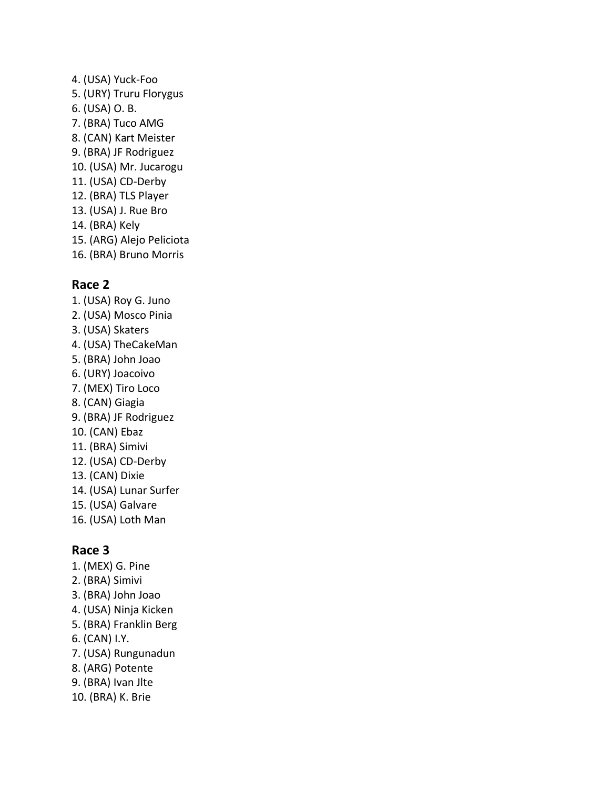4. (USA) Yuck-Foo 5. (URY) Truru Florygus 6. (USA) O. B. 7. (BRA) Tuco AMG 8. (CAN) Kart Meister 9. (BRA) JF Rodriguez 10. (USA) Mr. Jucarogu 11. (USA) CD-Derby 12. (BRA) TLS Player 13. (USA) J. Rue Bro 14. (BRA) Kely 15. (ARG) Alejo Peliciota 16. (BRA) Bruno Morris

## **Race 2**

1. (USA) Roy G. Juno 2. (USA) Mosco Pinia 3. (USA) Skaters 4. (USA) TheCakeMan 5. (BRA) John Joao 6. (URY) Joacoivo 7. (MEX) Tiro Loco 8. (CAN) Giagia 9. (BRA) JF Rodriguez 10. (CAN) Ebaz 11. (BRA) Simivi 12. (USA) CD-Derby 13. (CAN) Dixie 14. (USA) Lunar Surfer 15. (USA) Galvare 16. (USA) Loth Man

## **Race 3**

- 1. (MEX) G. Pine
- 2. (BRA) Simivi
- 3. (BRA) John Joao
- 4. (USA) Ninja Kicken
- 5. (BRA) Franklin Berg
- 6. (CAN) I.Y.
- 7. (USA) Rungunadun
- 8. (ARG) Potente
- 9. (BRA) Ivan Jlte
- 10. (BRA) K. Brie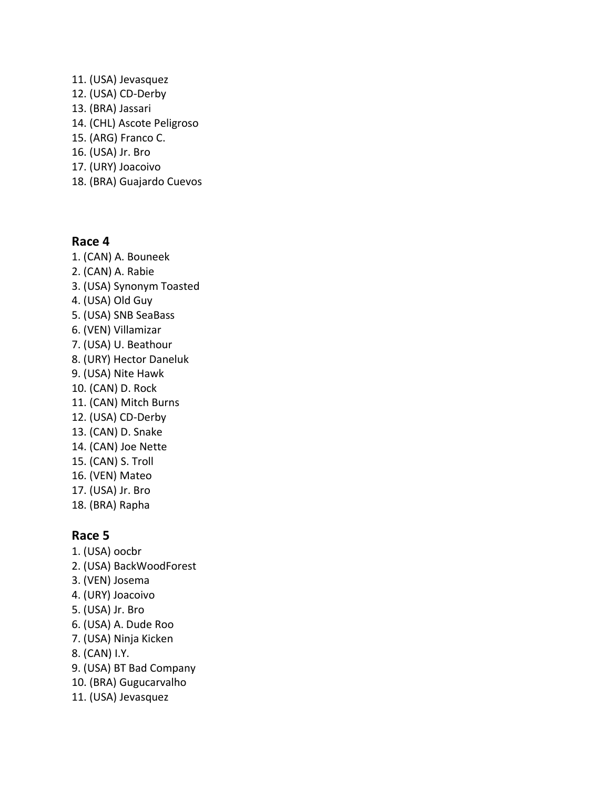- 11. (USA) Jevasquez 12. (USA) CD-Derby 13. (BRA) Jassari 14. (CHL) Ascote Peligroso 15. (ARG) Franco C. 16. (USA) Jr. Bro 17. (URY) Joacoivo
- 18. (BRA) Guajardo Cuevos

### **Race 4**

1. (CAN) A. Bouneek 2. (CAN) A. Rabie 3. (USA) Synonym Toasted 4. (USA) Old Guy 5. (USA) SNB SeaBass 6. (VEN) Villamizar 7. (USA) U. Beathour 8. (URY) Hector Daneluk 9. (USA) Nite Hawk 10. (CAN) D. Rock 11. (CAN) Mitch Burns 12. (USA) CD-Derby 13. (CAN) D. Snake 14. (CAN) Joe Nette 15. (CAN) S. Troll 16. (VEN) Mateo 17. (USA) Jr. Bro 18. (BRA) Rapha

## **Race 5**

1. (USA) oocbr 2. (USA) BackWoodForest 3. (VEN) Josema 4. (URY) Joacoivo 5. (USA) Jr. Bro 6. (USA) A. Dude Roo 7. (USA) Ninja Kicken 8. (CAN) I.Y. 9. (USA) BT Bad Company 10. (BRA) Gugucarvalho 11. (USA) Jevasquez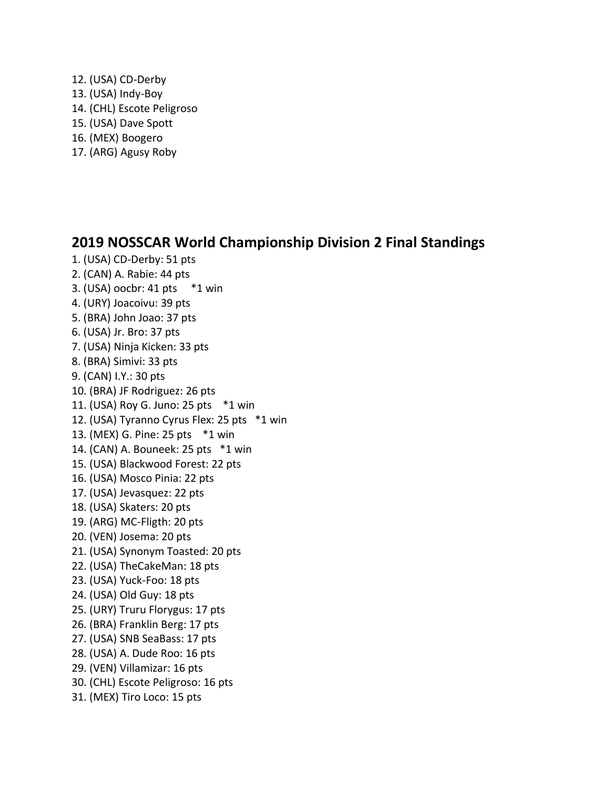- 12. (USA) CD-Derby 13. (USA) Indy-Boy 14. (CHL) Escote Peligroso 15. (USA) Dave Spott 16. (MEX) Boogero
- 17. (ARG) Agusy Roby

1. (USA) CD-Derby: 51 pts

# **2019 NOSSCAR World Championship Division 2 Final Standings**

2. (CAN) A. Rabie: 44 pts 3. (USA) oocbr: 41 pts \*1 win 4. (URY) Joacoivu: 39 pts 5. (BRA) John Joao: 37 pts 6. (USA) Jr. Bro: 37 pts 7. (USA) Ninja Kicken: 33 pts 8. (BRA) Simivi: 33 pts 9. (CAN) I.Y.: 30 pts 10. (BRA) JF Rodriguez: 26 pts 11. (USA) Roy G. Juno: 25 pts \*1 win 12. (USA) Tyranno Cyrus Flex: 25 pts \*1 win 13. (MEX) G. Pine: 25 pts \*1 win 14. (CAN) A. Bouneek: 25 pts \*1 win 15. (USA) Blackwood Forest: 22 pts 16. (USA) Mosco Pinia: 22 pts 17. (USA) Jevasquez: 22 pts 18. (USA) Skaters: 20 pts 19. (ARG) MC-Fligth: 20 pts 20. (VEN) Josema: 20 pts 21. (USA) Synonym Toasted: 20 pts 22. (USA) TheCakeMan: 18 pts 23. (USA) Yuck-Foo: 18 pts 24. (USA) Old Guy: 18 pts 25. (URY) Truru Florygus: 17 pts 26. (BRA) Franklin Berg: 17 pts 27. (USA) SNB SeaBass: 17 pts 28. (USA) A. Dude Roo: 16 pts 29. (VEN) Villamizar: 16 pts 30. (CHL) Escote Peligroso: 16 pts 31. (MEX) Tiro Loco: 15 pts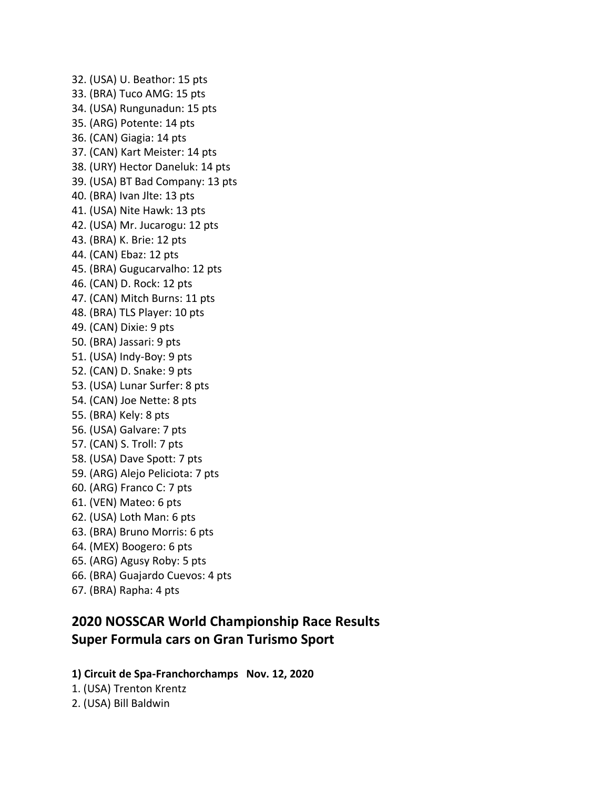32. (USA) U. Beathor: 15 pts 33. (BRA) Tuco AMG: 15 pts 34. (USA) Rungunadun: 15 pts 35. (ARG) Potente: 14 pts 36. (CAN) Giagia: 14 pts 37. (CAN) Kart Meister: 14 pts 38. (URY) Hector Daneluk: 14 pts 39. (USA) BT Bad Company: 13 pts 40. (BRA) Ivan Jlte: 13 pts 41. (USA) Nite Hawk: 13 pts 42. (USA) Mr. Jucarogu: 12 pts 43. (BRA) K. Brie: 12 pts 44. (CAN) Ebaz: 12 pts 45. (BRA) Gugucarvalho: 12 pts 46. (CAN) D. Rock: 12 pts 47. (CAN) Mitch Burns: 11 pts 48. (BRA) TLS Player: 10 pts 49. (CAN) Dixie: 9 pts 50. (BRA) Jassari: 9 pts 51. (USA) Indy-Boy: 9 pts 52. (CAN) D. Snake: 9 pts 53. (USA) Lunar Surfer: 8 pts 54. (CAN) Joe Nette: 8 pts 55. (BRA) Kely: 8 pts 56. (USA) Galvare: 7 pts 57. (CAN) S. Troll: 7 pts 58. (USA) Dave Spott: 7 pts 59. (ARG) Alejo Peliciota: 7 pts 60. (ARG) Franco C: 7 pts 61. (VEN) Mateo: 6 pts 62. (USA) Loth Man: 6 pts 63. (BRA) Bruno Morris: 6 pts 64. (MEX) Boogero: 6 pts 65. (ARG) Agusy Roby: 5 pts 66. (BRA) Guajardo Cuevos: 4 pts 67. (BRA) Rapha: 4 pts

# **2020 NOSSCAR World Championship Race Results Super Formula cars on Gran Turismo Sport**

### **1) Circuit de Spa-Franchorchamps Nov. 12, 2020**

1. (USA) Trenton Krentz

2. (USA) Bill Baldwin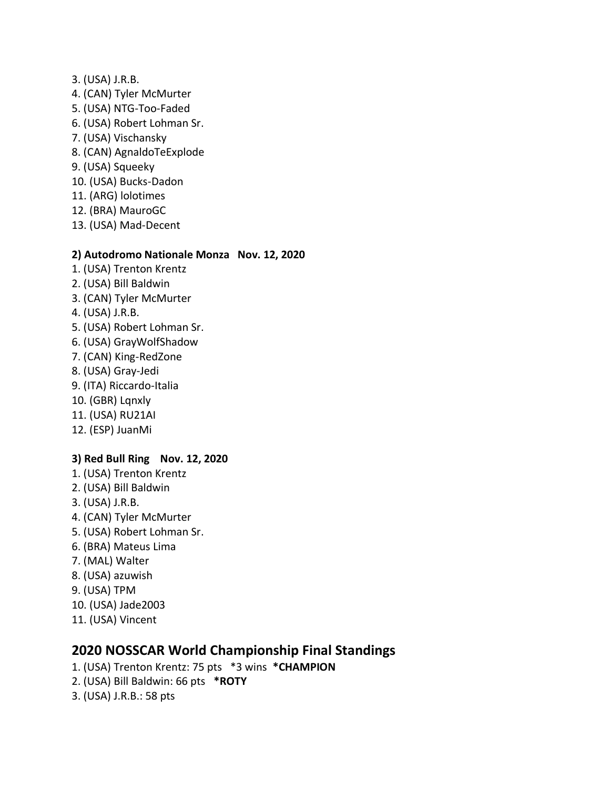- 3. (USA) J.R.B.
- 4. (CAN) Tyler McMurter
- 5. (USA) NTG-Too-Faded
- 6. (USA) Robert Lohman Sr.
- 7. (USA) Vischansky
- 8. (CAN) AgnaldoTeExplode
- 9. (USA) Squeeky
- 10. (USA) Bucks-Dadon
- 11. (ARG) lolotimes
- 12. (BRA) MauroGC
- 13. (USA) Mad-Decent

### **2) Autodromo Nationale Monza Nov. 12, 2020**

- 1. (USA) Trenton Krentz
- 2. (USA) Bill Baldwin
- 3. (CAN) Tyler McMurter
- 4. (USA) J.R.B.
- 5. (USA) Robert Lohman Sr.
- 6. (USA) GrayWolfShadow
- 7. (CAN) King-RedZone
- 8. (USA) Gray-Jedi
- 9. (ITA) Riccardo-Italia
- 10. (GBR) Lqnxly
- 11. (USA) RU21AI
- 12. (ESP) JuanMi

## **3) Red Bull Ring Nov. 12, 2020**

- 1. (USA) Trenton Krentz
- 2. (USA) Bill Baldwin
- 3. (USA) J.R.B.
- 4. (CAN) Tyler McMurter
- 5. (USA) Robert Lohman Sr.
- 6. (BRA) Mateus Lima
- 7. (MAL) Walter
- 8. (USA) azuwish
- 9. (USA) TPM
- 10. (USA) Jade2003
- 11. (USA) Vincent

## **2020 NOSSCAR World Championship Final Standings**

- 1. (USA) Trenton Krentz: 75 pts \*3 wins **\*CHAMPION**
- 2. (USA) Bill Baldwin: 66 pts **\*ROTY**
- 3. (USA) J.R.B.: 58 pts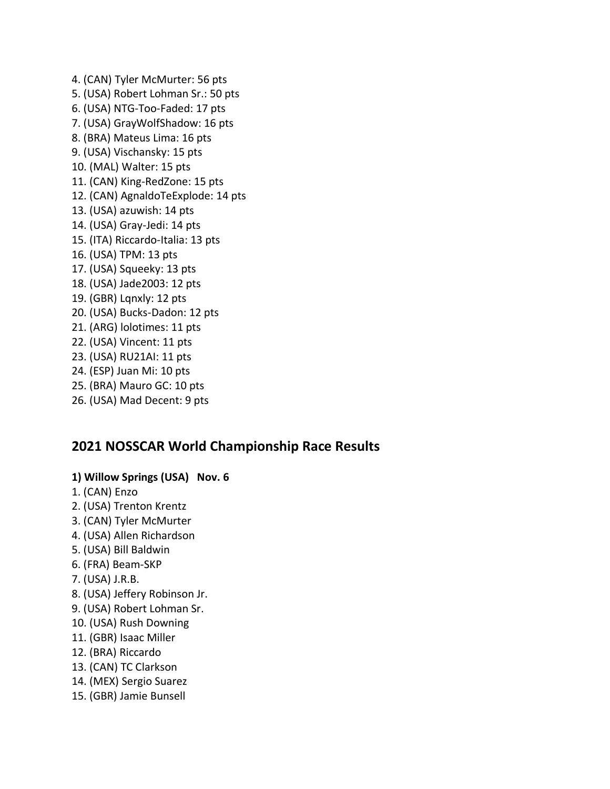4. (CAN) Tyler McMurter: 56 pts 5. (USA) Robert Lohman Sr.: 50 pts 6. (USA) NTG-Too-Faded: 17 pts 7. (USA) GrayWolfShadow: 16 pts 8. (BRA) Mateus Lima: 16 pts 9. (USA) Vischansky: 15 pts 10. (MAL) Walter: 15 pts 11. (CAN) King-RedZone: 15 pts 12. (CAN) AgnaldoTeExplode: 14 pts 13. (USA) azuwish: 14 pts 14. (USA) Gray-Jedi: 14 pts 15. (ITA) Riccardo-Italia: 13 pts 16. (USA) TPM: 13 pts 17. (USA) Squeeky: 13 pts 18. (USA) Jade2003: 12 pts 19. (GBR) Lqnxly: 12 pts 20. (USA) Bucks-Dadon: 12 pts 21. (ARG) lolotimes: 11 pts 22. (USA) Vincent: 11 pts 23. (USA) RU21AI: 11 pts 24. (ESP) Juan Mi: 10 pts 25. (BRA) Mauro GC: 10 pts 26. (USA) Mad Decent: 9 pts

# **2021 NOSSCAR World Championship Race Results**

#### **1) Willow Springs (USA) Nov. 6**

- 1. (CAN) Enzo
- 2. (USA) Trenton Krentz
- 3. (CAN) Tyler McMurter
- 4. (USA) Allen Richardson
- 5. (USA) Bill Baldwin
- 6. (FRA) Beam-SKP
- 7. (USA) J.R.B.
- 8. (USA) Jeffery Robinson Jr.
- 9. (USA) Robert Lohman Sr.
- 10. (USA) Rush Downing
- 11. (GBR) Isaac Miller
- 12. (BRA) Riccardo
- 13. (CAN) TC Clarkson
- 14. (MEX) Sergio Suarez
- 15. (GBR) Jamie Bunsell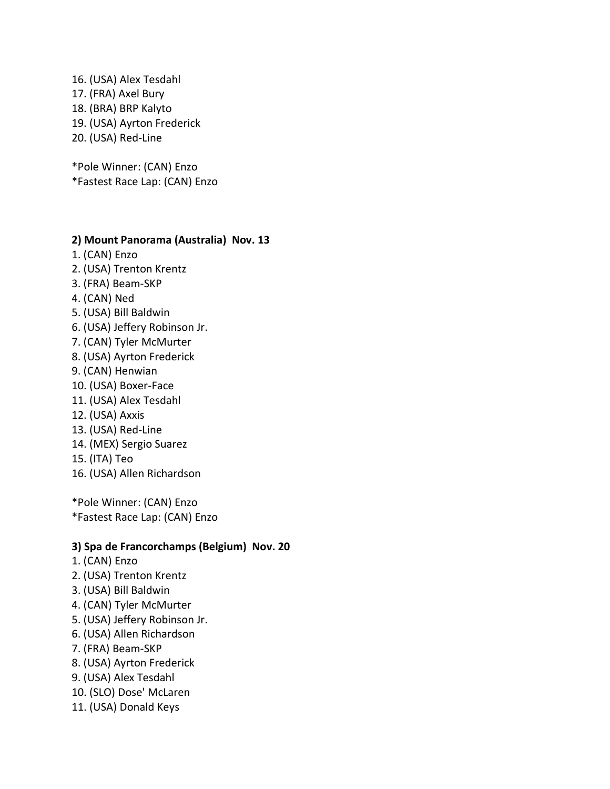16. (USA) Alex Tesdahl 17. (FRA) Axel Bury 18. (BRA) BRP Kalyto 19. (USA) Ayrton Frederick 20. (USA) Red-Line

\*Pole Winner: (CAN) Enzo \*Fastest Race Lap: (CAN) Enzo

#### **2) Mount Panorama (Australia) Nov. 13**

- 1. (CAN) Enzo
- 2. (USA) Trenton Krentz
- 3. (FRA) Beam-SKP
- 4. (CAN) Ned
- 5. (USA) Bill Baldwin
- 6. (USA) Jeffery Robinson Jr.
- 7. (CAN) Tyler McMurter
- 8. (USA) Ayrton Frederick
- 9. (CAN) Henwian
- 10. (USA) Boxer-Face
- 11. (USA) Alex Tesdahl
- 12. (USA) Axxis
- 13. (USA) Red-Line
- 14. (MEX) Sergio Suarez
- 15. (ITA) Teo
- 16. (USA) Allen Richardson

\*Pole Winner: (CAN) Enzo \*Fastest Race Lap: (CAN) Enzo

#### **3) Spa de Francorchamps (Belgium) Nov. 20**

- 1. (CAN) Enzo
- 2. (USA) Trenton Krentz
- 3. (USA) Bill Baldwin
- 4. (CAN) Tyler McMurter
- 5. (USA) Jeffery Robinson Jr.
- 6. (USA) Allen Richardson
- 7. (FRA) Beam-SKP
- 8. (USA) Ayrton Frederick
- 9. (USA) Alex Tesdahl
- 10. (SLO) Dose' McLaren
- 11. (USA) Donald Keys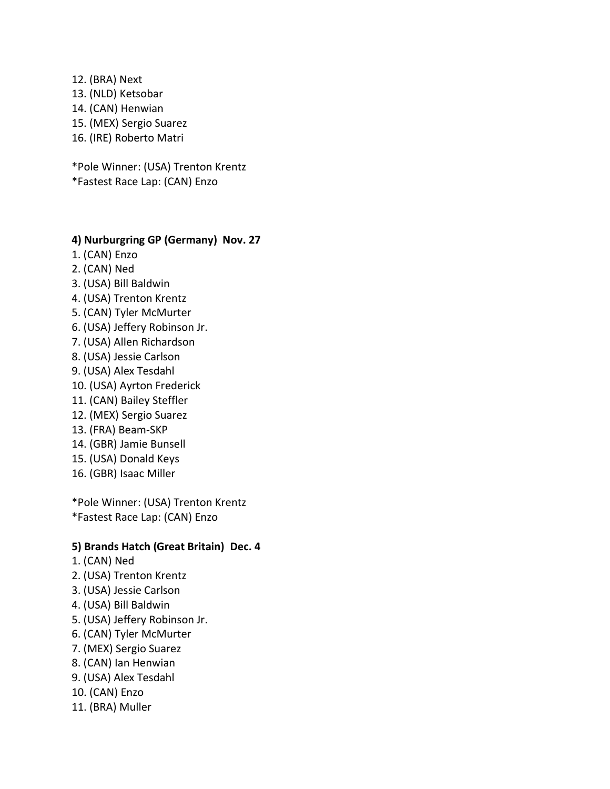- 12. (BRA) Next 13. (NLD) Ketsobar 14. (CAN) Henwian 15. (MEX) Sergio Suarez
- 16. (IRE) Roberto Matri

\*Pole Winner: (USA) Trenton Krentz \*Fastest Race Lap: (CAN) Enzo

#### **4) Nurburgring GP (Germany) Nov. 27**

- 1. (CAN) Enzo
- 2. (CAN) Ned
- 3. (USA) Bill Baldwin
- 4. (USA) Trenton Krentz
- 5. (CAN) Tyler McMurter
- 6. (USA) Jeffery Robinson Jr.
- 7. (USA) Allen Richardson
- 8. (USA) Jessie Carlson
- 9. (USA) Alex Tesdahl
- 10. (USA) Ayrton Frederick
- 11. (CAN) Bailey Steffler
- 12. (MEX) Sergio Suarez
- 13. (FRA) Beam-SKP
- 14. (GBR) Jamie Bunsell
- 15. (USA) Donald Keys
- 16. (GBR) Isaac Miller

\*Pole Winner: (USA) Trenton Krentz \*Fastest Race Lap: (CAN) Enzo

#### **5) Brands Hatch (Great Britain) Dec. 4**

- 1. (CAN) Ned
- 2. (USA) Trenton Krentz
- 3. (USA) Jessie Carlson
- 4. (USA) Bill Baldwin
- 5. (USA) Jeffery Robinson Jr.
- 6. (CAN) Tyler McMurter
- 7. (MEX) Sergio Suarez
- 8. (CAN) Ian Henwian
- 9. (USA) Alex Tesdahl
- 10. (CAN) Enzo
- 11. (BRA) Muller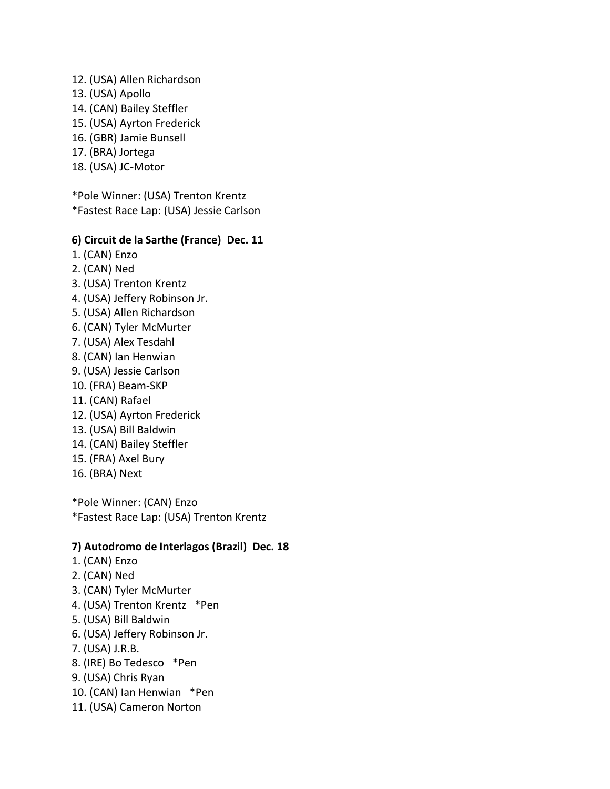- 12. (USA) Allen Richardson
- 13. (USA) Apollo
- 14. (CAN) Bailey Steffler
- 15. (USA) Ayrton Frederick
- 16. (GBR) Jamie Bunsell
- 17. (BRA) Jortega
- 18. (USA) JC-Motor

\*Pole Winner: (USA) Trenton Krentz \*Fastest Race Lap: (USA) Jessie Carlson

## **6) Circuit de la Sarthe (France) Dec. 11**

- 1. (CAN) Enzo
- 2. (CAN) Ned
- 3. (USA) Trenton Krentz
- 4. (USA) Jeffery Robinson Jr.
- 5. (USA) Allen Richardson
- 6. (CAN) Tyler McMurter
- 7. (USA) Alex Tesdahl
- 8. (CAN) Ian Henwian
- 9. (USA) Jessie Carlson
- 10. (FRA) Beam-SKP
- 11. (CAN) Rafael
- 12. (USA) Ayrton Frederick
- 13. (USA) Bill Baldwin
- 14. (CAN) Bailey Steffler
- 15. (FRA) Axel Bury
- 16. (BRA) Next

\*Pole Winner: (CAN) Enzo \*Fastest Race Lap: (USA) Trenton Krentz

### **7) Autodromo de Interlagos (Brazil) Dec. 18**

- 1. (CAN) Enzo
- 2. (CAN) Ned
- 3. (CAN) Tyler McMurter
- 4. (USA) Trenton Krentz \*Pen
- 5. (USA) Bill Baldwin
- 6. (USA) Jeffery Robinson Jr.
- 7. (USA) J.R.B.
- 8. (IRE) Bo Tedesco \*Pen
- 9. (USA) Chris Ryan
- 10. (CAN) Ian Henwian \*Pen
- 11. (USA) Cameron Norton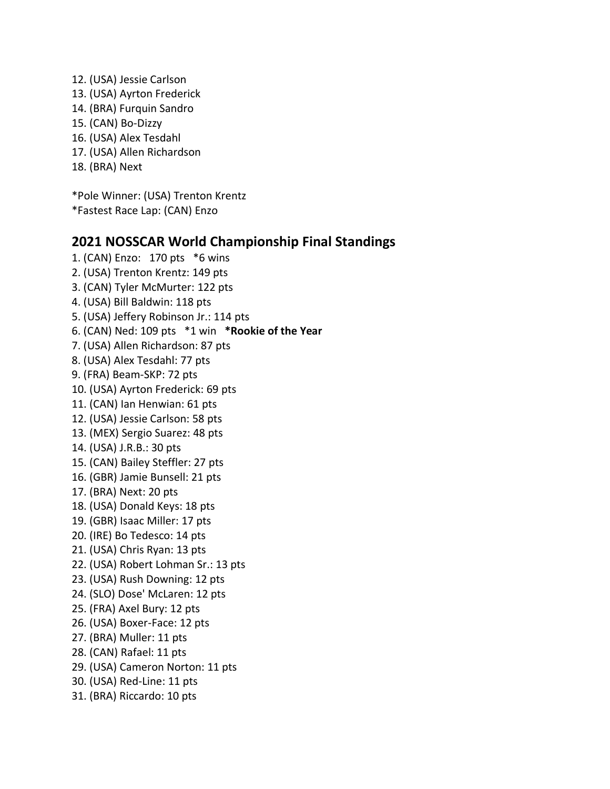12. (USA) Jessie Carlson 13. (USA) Ayrton Frederick 14. (BRA) Furquin Sandro 15. (CAN) Bo-Dizzy 16. (USA) Alex Tesdahl 17. (USA) Allen Richardson 18. (BRA) Next

\*Pole Winner: (USA) Trenton Krentz \*Fastest Race Lap: (CAN) Enzo

# **2021 NOSSCAR World Championship Final Standings**

1. (CAN) Enzo: 170 pts \*6 wins 2. (USA) Trenton Krentz: 149 pts 3. (CAN) Tyler McMurter: 122 pts 4. (USA) Bill Baldwin: 118 pts 5. (USA) Jeffery Robinson Jr.: 114 pts 6. (CAN) Ned: 109 pts \*1 win **\*Rookie of the Year** 7. (USA) Allen Richardson: 87 pts 8. (USA) Alex Tesdahl: 77 pts 9. (FRA) Beam-SKP: 72 pts 10. (USA) Ayrton Frederick: 69 pts 11. (CAN) Ian Henwian: 61 pts 12. (USA) Jessie Carlson: 58 pts 13. (MEX) Sergio Suarez: 48 pts 14. (USA) J.R.B.: 30 pts 15. (CAN) Bailey Steffler: 27 pts 16. (GBR) Jamie Bunsell: 21 pts 17. (BRA) Next: 20 pts 18. (USA) Donald Keys: 18 pts 19. (GBR) Isaac Miller: 17 pts 20. (IRE) Bo Tedesco: 14 pts 21. (USA) Chris Ryan: 13 pts 22. (USA) Robert Lohman Sr.: 13 pts 23. (USA) Rush Downing: 12 pts 24. (SLO) Dose' McLaren: 12 pts 25. (FRA) Axel Bury: 12 pts 26. (USA) Boxer-Face: 12 pts 27. (BRA) Muller: 11 pts 28. (CAN) Rafael: 11 pts 29. (USA) Cameron Norton: 11 pts 30. (USA) Red-Line: 11 pts 31. (BRA) Riccardo: 10 pts